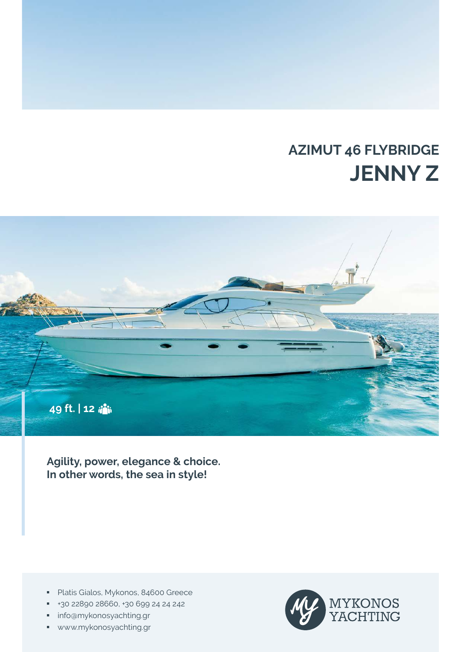# **AZIMUT 46 FLYBRIDGE JENNY Z**



**Agility, power, elegance & choice. In other words, the sea in style!**

- **Platis Gialos, Mykonos, 84600 Greece**
- +30 22890 28660, +30 699 24 24 242
- **info@mykonosyachting.gr**
- www.mykonosyachting.gr

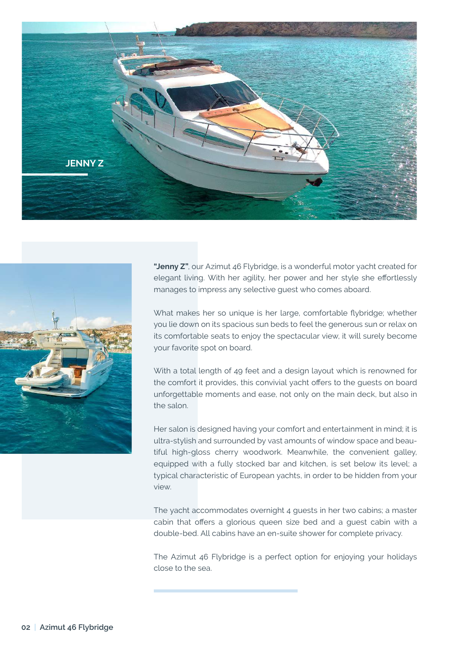



**"Jenny Z"**, our Azimut 46 Flybridge, is a wonderful motor yacht created for elegant living. With her agility, her power and her style she effortlessly manages to impress any selective guest who comes aboard.

What makes her so unique is her large, comfortable flybridge; whether you lie down on its spacious sun beds to feel the generous sun or relax on its comfortable seats to enjoy the spectacular view, it will surely become your favorite spot on board.

With a total length of 49 feet and a design layout which is renowned for the comfort it provides, this convivial yacht offers to the guests on board unforgettable moments and ease, not only on the main deck, but also in the salon.

Her salon is designed having your comfort and entertainment in mind; it is ultra-stylish and surrounded by vast amounts of window space and beautiful high-gloss cherry woodwork. Meanwhile, the convenient galley, equipped with a fully stocked bar and kitchen, is set below its level; a typical characteristic of European yachts, in order to be hidden from your view.

The yacht accommodates overnight 4 guests in her two cabins; a master cabin that offers a glorious queen size bed and a guest cabin with a double-bed. All cabins have an en-suite shower for complete privacy.

The Azimut 46 Flybridge is a perfect option for enjoying your holidays close to the sea.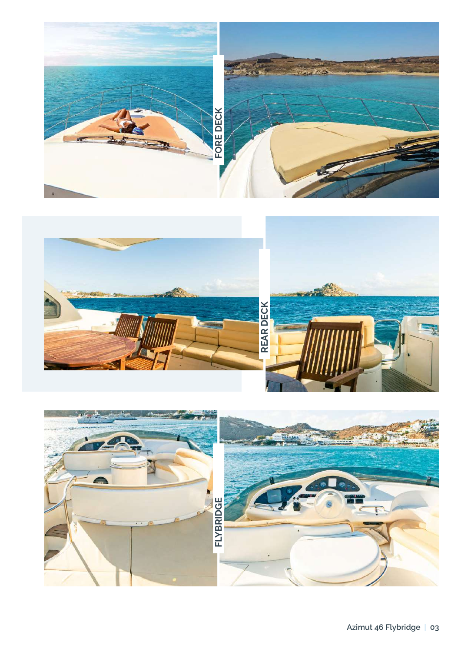



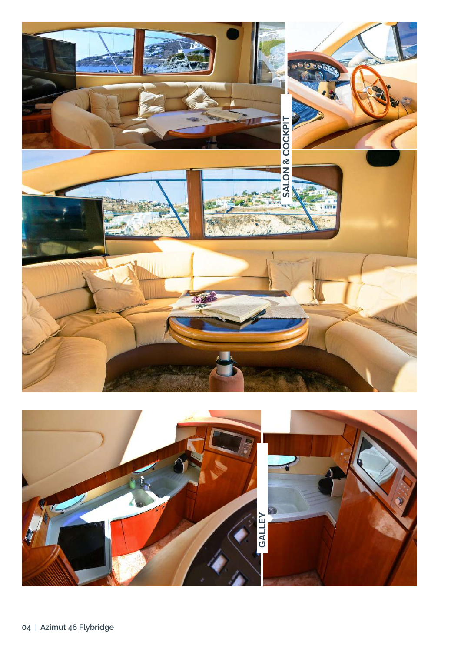

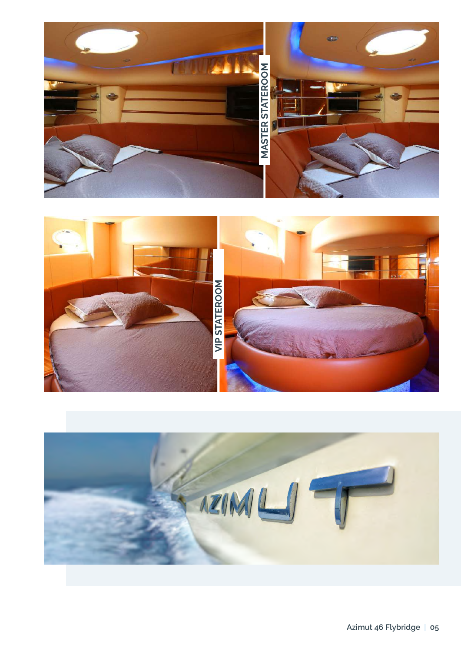